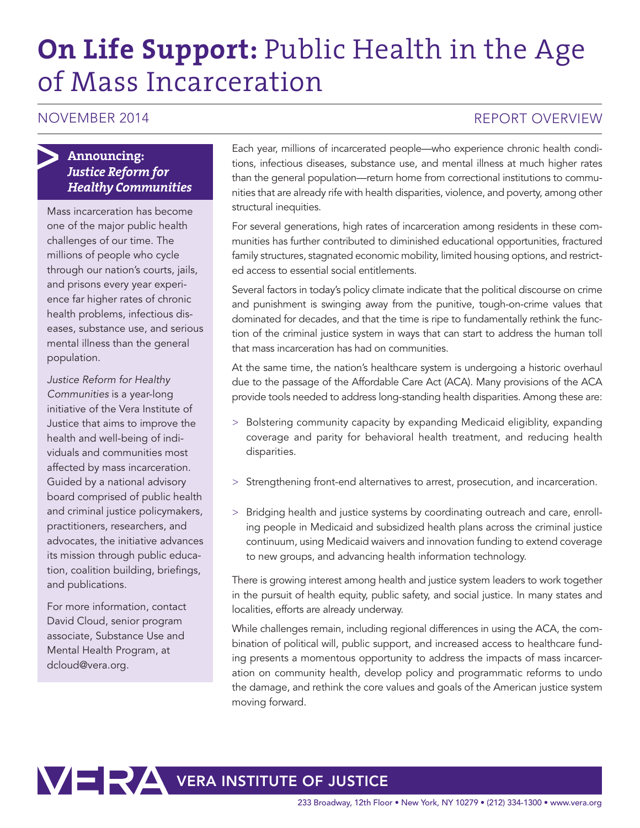### **On Life Support:** Public Health in the Age of Mass Incarceration

#### **Announcing:** *Justice Reform for Healthy Communities*

Mass incarceration has become one of the major public health challenges of our time. The millions of people who cycle through our nation's courts, jails, and prisons every year experience far higher rates of chronic health problems, infectious diseases, substance use, and serious mental illness than the general population.

*Justice Reform for Healthy Communities* is a year-long initiative of the Vera Institute of Justice that aims to improve the health and well-being of individuals and communities most affected by mass incarceration. Guided by a national advisory board comprised of public health and criminal justice policymakers, practitioners, researchers, and advocates, the initiative advances its mission through public education, coalition building, briefings, and publications.

For more information, contact David Cloud, senior program associate, Substance Use and Mental Health Program, at dcloud@vera.org.

Each year, millions of incarcerated people—who experience chronic health conditions, infectious diseases, substance use, and mental illness at much higher rates than the general population—return home from correctional institutions to communities that are already rife with health disparities, violence, and poverty, among other structural inequities.

For several generations, high rates of incarceration among residents in these communities has further contributed to diminished educational opportunities, fractured family structures, stagnated economic mobility, limited housing options, and restricted access to essential social entitlements.

Several factors in today's policy climate indicate that the political discourse on crime and punishment is swinging away from the punitive, tough-on-crime values that dominated for decades, and that the time is ripe to fundamentally rethink the function of the criminal justice system in ways that can start to address the human toll that mass incarceration has had on communities.

At the same time, the nation's healthcare system is undergoing a historic overhaul due to the passage of the Affordable Care Act (ACA). Many provisions of the ACA provide tools needed to address long-standing health disparities. Among these are:

- > Bolstering community capacity by expanding Medicaid eligiblity, expanding coverage and parity for behavioral health treatment, and reducing health disparities.
- > Strengthening front-end alternatives to arrest, prosecution, and incarceration.
- > Bridging health and justice systems by coordinating outreach and care, enrolling people in Medicaid and subsidized health plans across the criminal justice continuum, using Medicaid waivers and innovation funding to extend coverage to new groups, and advancing health information technology.

There is growing interest among health and justice system leaders to work together in the pursuit of health equity, public safety, and social justice. In many states and localities, efforts are already underway.

While challenges remain, including regional differences in using the ACA, the combination of political will, public support, and increased access to healthcare funding presents a momentous opportunity to address the impacts of mass incarceration on community health, develop policy and programmatic reforms to undo the damage, and rethink the core values and goals of the American justice system moving forward.

#### NOVEMBER 2014 REPORT OVERVIEW

#### **VERA VERA INSTITUTE OF JUSTICE**